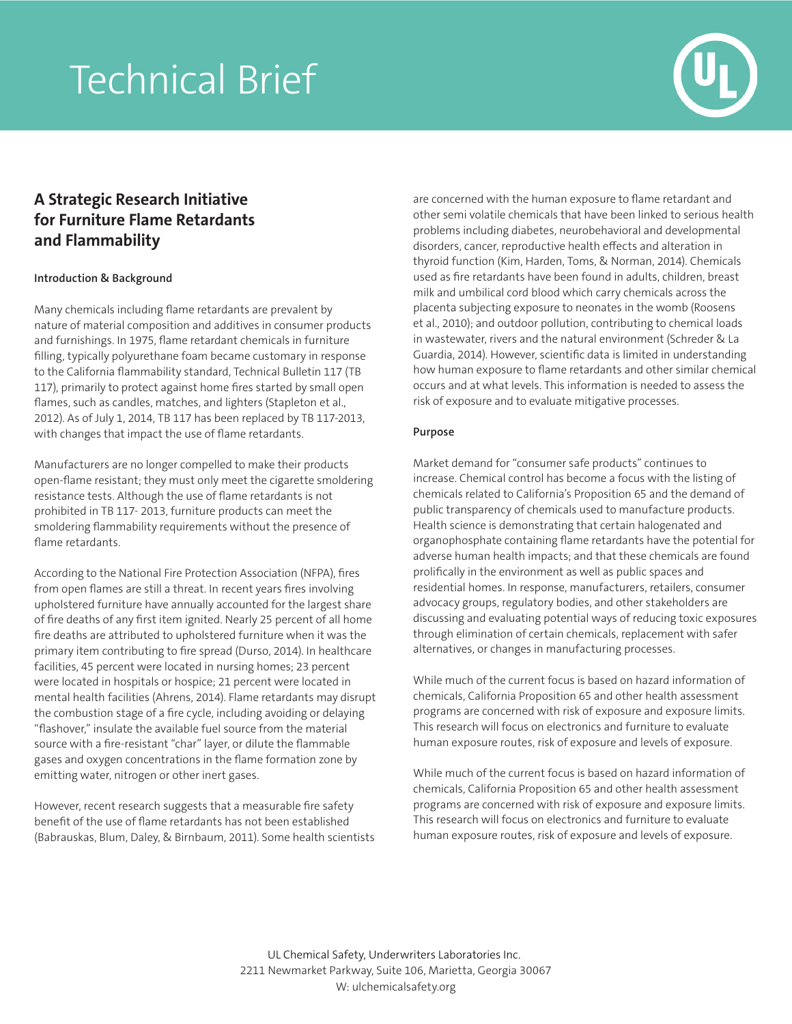# Technical Brief



# **A Strategic Research Initiative for Furniture Flame Retardants and Flammability**

## **Introduction & Background**

Many chemicals including flame retardants are prevalent by nature of material composition and additives in consumer products and furnishings. In 1975, flame retardant chemicals in furniture filling, typically polyurethane foam became customary in response to the California flammability standard, Technical Bulletin 117 (TB 117), primarily to protect against home fires started by small open flames, such as candles, matches, and lighters (Stapleton et al., 2012). As of July 1, 2014, TB 117 has been replaced by TB 117-2013, with changes that impact the use of flame retardants.

Manufacturers are no longer compelled to make their products open-flame resistant; they must only meet the cigarette smoldering resistance tests. Although the use of flame retardants is not prohibited in TB 117- 2013, furniture products can meet the smoldering flammability requirements without the presence of flame retardants.

According to the National Fire Protection Association (NFPA), fires from open flames are still a threat. In recent years fires involving upholstered furniture have annually accounted for the largest share of fire deaths of any first item ignited. Nearly 25 percent of all home fire deaths are attributed to upholstered furniture when it was the primary item contributing to fire spread (Durso, 2014). In healthcare facilities, 45 percent were located in nursing homes; 23 percent were located in hospitals or hospice; 21 percent were located in mental health facilities (Ahrens, 2014). Flame retardants may disrupt the combustion stage of a fire cycle, including avoiding or delaying "flashover," insulate the available fuel source from the material source with a fire-resistant "char" layer, or dilute the flammable gases and oxygen concentrations in the flame formation zone by emitting water, nitrogen or other inert gases.

However, recent research suggests that a measurable fire safety benefit of the use of flame retardants has not been established (Babrauskas, Blum, Daley, & Birnbaum, 2011). Some health scientists are concerned with the human exposure to flame retardant and other semi volatile chemicals that have been linked to serious health problems including diabetes, neurobehavioral and developmental disorders, cancer, reproductive health effects and alteration in thyroid function (Kim, Harden, Toms, & Norman, 2014). Chemicals used as fire retardants have been found in adults, children, breast milk and umbilical cord blood which carry chemicals across the placenta subjecting exposure to neonates in the womb (Roosens et al., 2010); and outdoor pollution, contributing to chemical loads in wastewater, rivers and the natural environment (Schreder & La Guardia, 2014). However, scientific data is limited in understanding how human exposure to flame retardants and other similar chemical occurs and at what levels. This information is needed to assess the risk of exposure and to evaluate mitigative processes.

# **Purpose**

Market demand for "consumer safe products" continues to increase. Chemical control has become a focus with the listing of chemicals related to California's Proposition 65 and the demand of public transparency of chemicals used to manufacture products. Health science is demonstrating that certain halogenated and organophosphate containing flame retardants have the potential for adverse human health impacts; and that these chemicals are found prolifically in the environment as well as public spaces and residential homes. In response, manufacturers, retailers, consumer advocacy groups, regulatory bodies, and other stakeholders are discussing and evaluating potential ways of reducing toxic exposures through elimination of certain chemicals, replacement with safer alternatives, or changes in manufacturing processes.

While much of the current focus is based on hazard information of chemicals, California Proposition 65 and other health assessment programs are concerned with risk of exposure and exposure limits. This research will focus on electronics and furniture to evaluate human exposure routes, risk of exposure and levels of exposure.

While much of the current focus is based on hazard information of chemicals, California Proposition 65 and other health assessment programs are concerned with risk of exposure and exposure limits. This research will focus on electronics and furniture to evaluate human exposure routes, risk of exposure and levels of exposure.